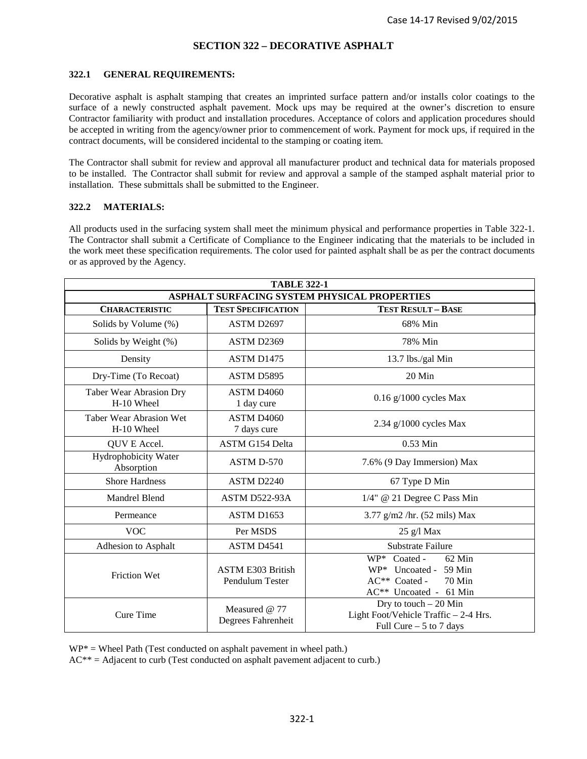### **SECTION 322 – DECORATIVE ASPHALT**

#### **322.1 GENERAL REQUIREMENTS:**

Decorative asphalt is asphalt stamping that creates an imprinted surface pattern and/or installs color coatings to the surface of a newly constructed asphalt pavement. Mock ups may be required at the owner's discretion to ensure Contractor familiarity with product and installation procedures. Acceptance of colors and application procedures should be accepted in writing from the agency/owner prior to commencement of work. Payment for mock ups, if required in the contract documents, will be considered incidental to the stamping or coating item.

The Contractor shall submit for review and approval all manufacturer product and technical data for materials proposed to be installed. The Contractor shall submit for review and approval a sample of the stamped asphalt material prior to installation. These submittals shall be submitted to the Engineer.

#### **322.2 MATERIALS:**

All products used in the surfacing system shall meet the minimum physical and performance properties in Table 322-1. The Contractor shall submit a Certificate of Compliance to the Engineer indicating that the materials to be included in the work meet these specification requirements. The color used for painted asphalt shall be as per the contract documents or as approved by the Agency.

| <b>TABLE 322-1</b>                           |                                             |                                                                                                                 |
|----------------------------------------------|---------------------------------------------|-----------------------------------------------------------------------------------------------------------------|
| ASPHALT SURFACING SYSTEM PHYSICAL PROPERTIES |                                             |                                                                                                                 |
| <b>CHARACTERISTIC</b>                        | <b>TEST SPECIFICATION</b>                   | <b>TEST RESULT - BASE</b>                                                                                       |
| Solids by Volume (%)                         | ASTM D2697                                  | 68% Min                                                                                                         |
| Solids by Weight (%)                         | ASTM D2369                                  | 78% Min                                                                                                         |
| Density                                      | ASTM D1475                                  | 13.7 lbs./gal Min                                                                                               |
| Dry-Time (To Recoat)                         | ASTM D5895                                  | 20 Min                                                                                                          |
| Taber Wear Abrasion Dry<br>H-10 Wheel        | ASTM D <sub>4060</sub><br>1 day cure        | $0.16$ g/1000 cycles Max                                                                                        |
| Taber Wear Abrasion Wet<br>H-10 Wheel        | <b>ASTM D4060</b><br>7 days cure            | $2.34$ g/1000 cycles Max                                                                                        |
| QUV E Accel.                                 | ASTM G154 Delta                             | 0.53 Min                                                                                                        |
| Hydrophobicity Water<br>Absorption           | ASTM D-570                                  | 7.6% (9 Day Immersion) Max                                                                                      |
| <b>Shore Hardness</b>                        | ASTM D2240                                  | 67 Type D Min                                                                                                   |
| Mandrel Blend                                | ASTM D522-93A                               | 1/4" @ 21 Degree C Pass Min                                                                                     |
| Permeance                                    | ASTM D1653                                  | $3.77$ g/m2 /hr. (52 mils) Max                                                                                  |
| <b>VOC</b>                                   | Per MSDS                                    | 25 g/l Max                                                                                                      |
| Adhesion to Asphalt                          | ASTM D4541                                  | Substrate Failure                                                                                               |
| <b>Friction Wet</b>                          | <b>ASTM E303 British</b><br>Pendulum Tester | $WP*$ Coated -<br>62 Min<br>$WP*$ Uncoated - 59 Min<br>AC** Coated -<br><b>70 Min</b><br>AC** Uncoated - 61 Min |
| Cure Time                                    | Measured @ 77<br>Degrees Fahrenheit         | Dry to touch $-20$ Min<br>Light Foot/Vehicle Traffic - 2-4 Hrs.<br>Full Cure $-5$ to 7 days                     |

 $WP* =$  Wheel Path (Test conducted on asphalt pavement in wheel path.)

 $AC^{**} = Adjacent$  to curb (Test conducted on asphalt pavement adjacent to curb.)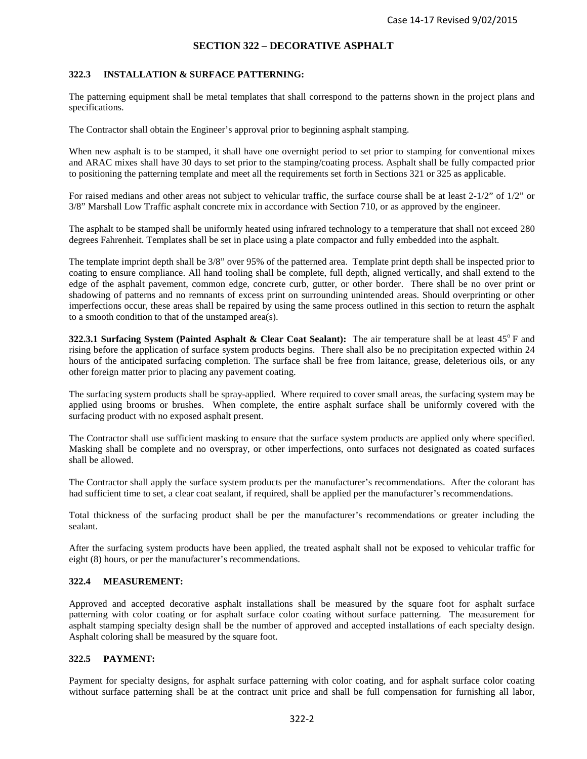## **SECTION 322 – DECORATIVE ASPHALT**

### **322.3 INSTALLATION & SURFACE PATTERNING:**

The patterning equipment shall be metal templates that shall correspond to the patterns shown in the project plans and specifications.

The Contractor shall obtain the Engineer's approval prior to beginning asphalt stamping.

When new asphalt is to be stamped, it shall have one overnight period to set prior to stamping for conventional mixes and ARAC mixes shall have 30 days to set prior to the stamping/coating process. Asphalt shall be fully compacted prior to positioning the patterning template and meet all the requirements set forth in Sections 321 or 325 as applicable.

For raised medians and other areas not subject to vehicular traffic, the surface course shall be at least 2-1/2" of 1/2" or 3/8" Marshall Low Traffic asphalt concrete mix in accordance with Section 710, or as approved by the engineer.

The asphalt to be stamped shall be uniformly heated using infrared technology to a temperature that shall not exceed 280 degrees Fahrenheit. Templates shall be set in place using a plate compactor and fully embedded into the asphalt.

The template imprint depth shall be 3/8" over 95% of the patterned area. Template print depth shall be inspected prior to coating to ensure compliance. All hand tooling shall be complete, full depth, aligned vertically, and shall extend to the edge of the asphalt pavement, common edge, concrete curb, gutter, or other border. There shall be no over print or shadowing of patterns and no remnants of excess print on surrounding unintended areas. Should overprinting or other imperfections occur, these areas shall be repaired by using the same process outlined in this section to return the asphalt to a smooth condition to that of the unstamped area(s).

**322.3.1 Surfacing System (Painted Asphalt & Clear Coat Sealant):** The air temperature shall be at least 45<sup>o</sup> F and rising before the application of surface system products begins. There shall also be no precipitation expected within 24 hours of the anticipated surfacing completion. The surface shall be free from laitance, grease, deleterious oils, or any other foreign matter prior to placing any pavement coating.

The surfacing system products shall be spray-applied. Where required to cover small areas, the surfacing system may be applied using brooms or brushes. When complete, the entire asphalt surface shall be uniformly covered with the surfacing product with no exposed asphalt present.

The Contractor shall use sufficient masking to ensure that the surface system products are applied only where specified. Masking shall be complete and no overspray, or other imperfections, onto surfaces not designated as coated surfaces shall be allowed.

The Contractor shall apply the surface system products per the manufacturer's recommendations. After the colorant has had sufficient time to set, a clear coat sealant, if required, shall be applied per the manufacturer's recommendations.

Total thickness of the surfacing product shall be per the manufacturer's recommendations or greater including the sealant.

After the surfacing system products have been applied, the treated asphalt shall not be exposed to vehicular traffic for eight (8) hours, or per the manufacturer's recommendations.

#### **322.4 MEASUREMENT:**

Approved and accepted decorative asphalt installations shall be measured by the square foot for asphalt surface patterning with color coating or for asphalt surface color coating without surface patterning. The measurement for asphalt stamping specialty design shall be the number of approved and accepted installations of each specialty design. Asphalt coloring shall be measured by the square foot.

#### **322.5 PAYMENT:**

Payment for specialty designs, for asphalt surface patterning with color coating, and for asphalt surface color coating without surface patterning shall be at the contract unit price and shall be full compensation for furnishing all labor,